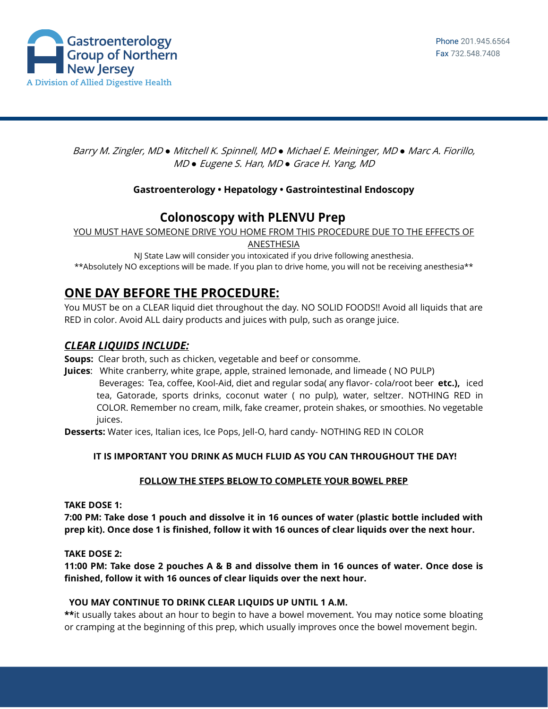

Barry M. Zingler, MD *●* Mitchell K. Spinnell, MD *●* Michael E. Meininger, MD *●* Marc A. Fiorillo, MD *●* Eugene S. Han, MD *●* Grace H. Yang, MD

### **Gastroenterology • Hepatology • Gastrointestinal Endoscopy**

# **Colonoscopy with PLENVU Prep**

YOU MUST HAVE SOMEONE DRIVE YOU HOME FROM THIS PROCEDURE DUE TO THE EFFECTS OF

ANESTHESIA

NJ State Law will consider you intoxicated if you drive following anesthesia. \*\*Absolutely NO exceptions will be made. If you plan to drive home, you will not be receiving anesthesia\*\*

## **ONE DAY BEFORE THE PROCEDURE:**

You MUST be on a CLEAR liquid diet throughout the day. NO SOLID FOODS!! Avoid all liquids that are RED in color. Avoid ALL dairy products and juices with pulp, such as orange juice.

### *CLEAR LIQUIDS INCLUDE:*

**Soups:** Clear broth, such as chicken, vegetable and beef or consomme.

**Juices**: White cranberry, white grape, apple, strained lemonade, and limeade ( NO PULP) Beverages: Tea, coffee, Kool-Aid, diet and regular soda( any flavor- cola/root beer **etc.),** iced tea, Gatorade, sports drinks, coconut water ( no pulp), water, seltzer. NOTHING RED in COLOR. Remember no cream, milk, fake creamer, protein shakes, or smoothies. No vegetable juices.

**Desserts:** Water ices, Italian ices, Ice Pops, Jell-O, hard candy- NOTHING RED IN COLOR

#### **IT IS IMPORTANT YOU DRINK AS MUCH FLUID AS YOU CAN THROUGHOUT THE DAY!**

#### **FOLLOW THE STEPS BELOW TO COMPLETE YOUR BOWEL PREP**

#### **TAKE DOSE 1:**

**7:00 PM: Take dose 1 pouch and dissolve it in 16 ounces of water (plastic bottle included with prep kit). Once dose 1 is finished, follow it with 16 ounces of clear liquids over the next hour.**

**TAKE DOSE 2:**

**11:00 PM: Take dose 2 pouches A & B and dissolve them in 16 ounces of water. Once dose is finished, follow it with 16 ounces of clear liquids over the next hour.**

#### **YOU MAY CONTINUE TO DRINK CLEAR LIQUIDS UP UNTIL 1 A.M.**

\*\*it usually takes about an hour to begin to have a bowel movement. You may notice some bloating or cramping at the beginning of this prep, which usually improves once the bowel movement begin.